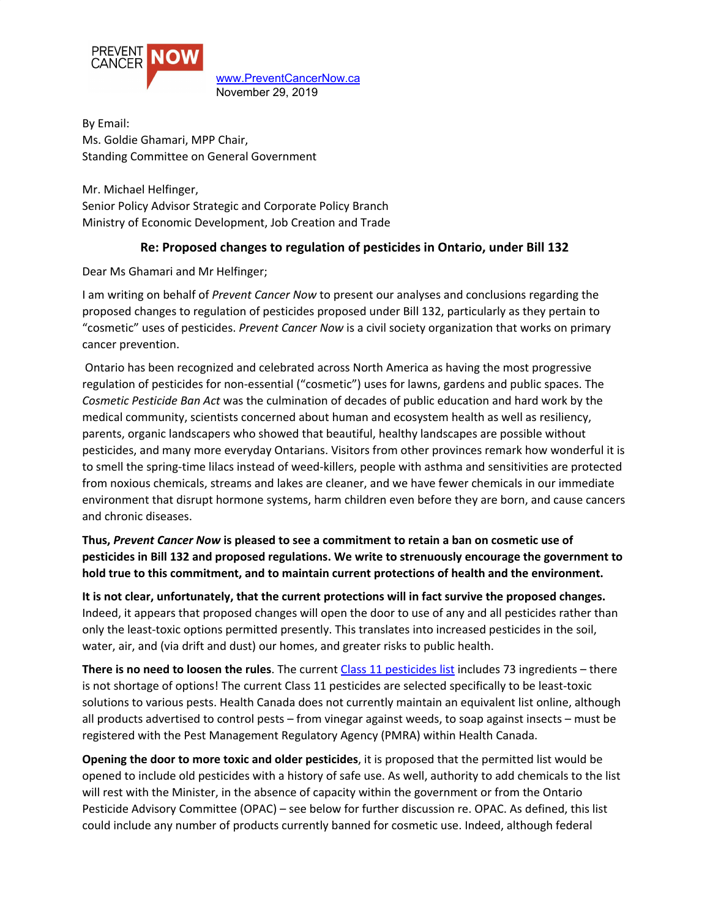

[www.PreventCancerNow.ca](http://www.preventcancernow.ca/) November 29, 2019

By Email: Ms. Goldie Ghamari, MPP Chair, Standing Committee on General Government

Mr. Michael Helfinger, Senior Policy Advisor Strategic and Corporate Policy Branch Ministry of Economic Development, Job Creation and Trade

### **Re: Proposed changes to regulation of pesticides in Ontario, under Bill 132**

Dear Ms Ghamari and Mr Helfinger;

I am writing on behalf of *Prevent Cancer Now* to present our analyses and conclusions regarding the proposed changes to regulation of pesticides proposed under Bill 132, particularly as they pertain to "cosmetic" uses of pesticides. *Prevent Cancer Now* is a civil society organization that works on primary cancer prevention.

Ontario has been recognized and celebrated across North America as having the most progressive regulation of pesticides for non-essential ("cosmetic") uses for lawns, gardens and public spaces. The *Cosmetic Pesticide Ban Act* was the culmination of decades of public education and hard work by the medical community, scientists concerned about human and ecosystem health as well as resiliency, parents, organic landscapers who showed that beautiful, healthy landscapes are possible without pesticides, and many more everyday Ontarians. Visitors from other provinces remark how wonderful it is to smell the spring-time lilacs instead of weed-killers, people with asthma and sensitivities are protected from noxious chemicals, streams and lakes are cleaner, and we have fewer chemicals in our immediate environment that disrupt hormone systems, harm children even before they are born, and cause cancers and chronic diseases.

**Thus,** *Prevent Cancer Now* **is pleased to see a commitment to retain a ban on cosmetic use of pesticides in Bill 132 and proposed regulations. We write to strenuously encourage the government to hold true to this commitment, and to maintain current protections of health and the environment.**

**It is not clear, unfortunately, that the current protections will in fact survive the proposed changes.** Indeed, it appears that proposed changes will open the door to use of any and all pesticides rather than only the least-toxic options permitted presently. This translates into increased pesticides in the soil, water, air, and (via drift and dust) our homes, and greater risks to public health.

**There is no need to loosen the rules**. The current Class 11 [pesticides](https://www.ontario.ca/page/class-11-pesticides) list includes 73 ingredients – there is not shortage of options! The current Class 11 pesticides are selected specifically to be least-toxic solutions to various pests. Health Canada does not currently maintain an equivalent list online, although all products advertised to control pests – from vinegar against weeds, to soap against insects – must be registered with the Pest Management Regulatory Agency (PMRA) within Health Canada.

**Opening the door to more toxic and older pesticides**, it is proposed that the permitted list would be opened to include old pesticides with a history of safe use. As well, authority to add chemicals to the list will rest with the Minister, in the absence of capacity within the government or from the Ontario Pesticide Advisory Committee (OPAC) – see below for further discussion re. OPAC. As defined, this list could include any number of products currently banned for cosmetic use. Indeed, although federal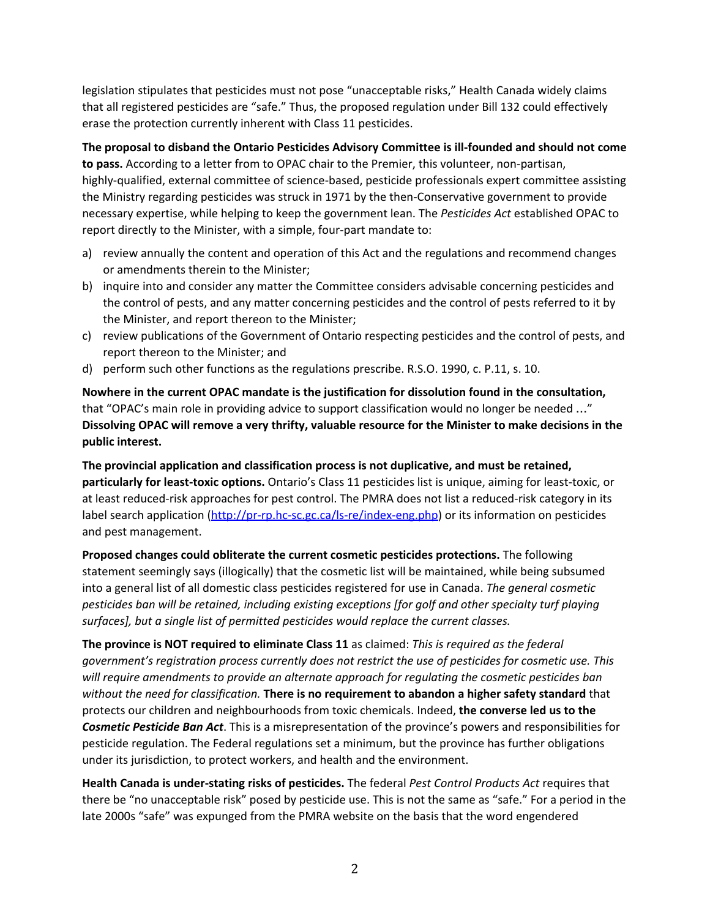legislation stipulates that pesticides must not pose "unacceptable risks," Health Canada widely claims that all registered pesticides are "safe." Thus, the proposed regulation under Bill 132 could effectively erase the protection currently inherent with Class 11 pesticides.

**The proposal to disband the Ontario Pesticides Advisory Committee is ill-founded and should not come to pass.** According to a letter from to OPAC chair to the Premier, this volunteer, non-partisan, highly-qualified, external committee of science-based, pesticide professionals expert committee assisting the Ministry regarding pesticides was struck in 1971 by the then-Conservative government to provide necessary expertise, while helping to keep the government lean. The *Pesticides Act* established OPAC to report directly to the Minister, with a simple, four-part mandate to:

- a) review annually the content and operation of this Act and the regulations and recommend changes or amendments therein to the Minister;
- b) inquire into and consider any matter the Committee considers advisable concerning pesticides and the control of pests, and any matter concerning pesticides and the control of pests referred to it by the Minister, and report thereon to the Minister;
- c) review publications of the Government of Ontario respecting pesticides and the control of pests, and report thereon to the Minister; and
- d) perform such other functions as the regulations prescribe. R.S.O. 1990, c. P.11, s. 10.

**Nowhere in the current OPAC mandate is the justification for dissolution found in the consultation,** that "OPAC's main role in providing advice to support classification would no longer be needed …" **Dissolving OPAC will remove a very thrifty, valuable resource for the Minister to make decisions in the public interest.**

**The provincial application and classification process is not duplicative, and must be retained, particularly for least-toxic options.** Ontario's Class 11 pesticides list is unique, aiming for least-toxic, or at least reduced-risk approaches for pest control. The PMRA does not list a reduced-risk category in its label search application [\(http://pr-rp.hc-sc.gc.ca/ls-re/index-eng.php\)](http://pr-rp.hc-sc.gc.ca/ls-re/index-eng.php) or its information on pesticides and pest management.

**Proposed changes could obliterate the current cosmetic pesticides protections.** The following statement seemingly says (illogically) that the cosmetic list will be maintained, while being subsumed into a general list of all domestic class pesticides registered for use in Canada. *The general cosmetic pesticides ban will be retained, including existing exceptions [for golf and other specialty turf playing surfaces], but a single list of permitted pesticides would replace the current classes.*

**The province is NOT required to eliminate Class 11** as claimed: *This is required as the federal government's registration process currently does not restrict the use of pesticides for cosmetic use. This will require amendments to provide an alternate approach for regulating the cosmetic pesticides ban without the need for classification.* **There is no requirement to abandon a higher safety standard** that protects our children and neighbourhoods from toxic chemicals. Indeed, **the converse led us to the** *Cosmetic Pesticide Ban Act*. This is a misrepresentation of the province's powers and responsibilities for pesticide regulation. The Federal regulations set a minimum, but the province has further obligations under its jurisdiction, to protect workers, and health and the environment.

**Health Canada is under-stating risks of pesticides.** The federal *Pest Control Products Act* requires that there be "no unacceptable risk" posed by pesticide use. This is not the same as "safe." For a period in the late 2000s "safe" was expunged from the PMRA website on the basis that the word engendered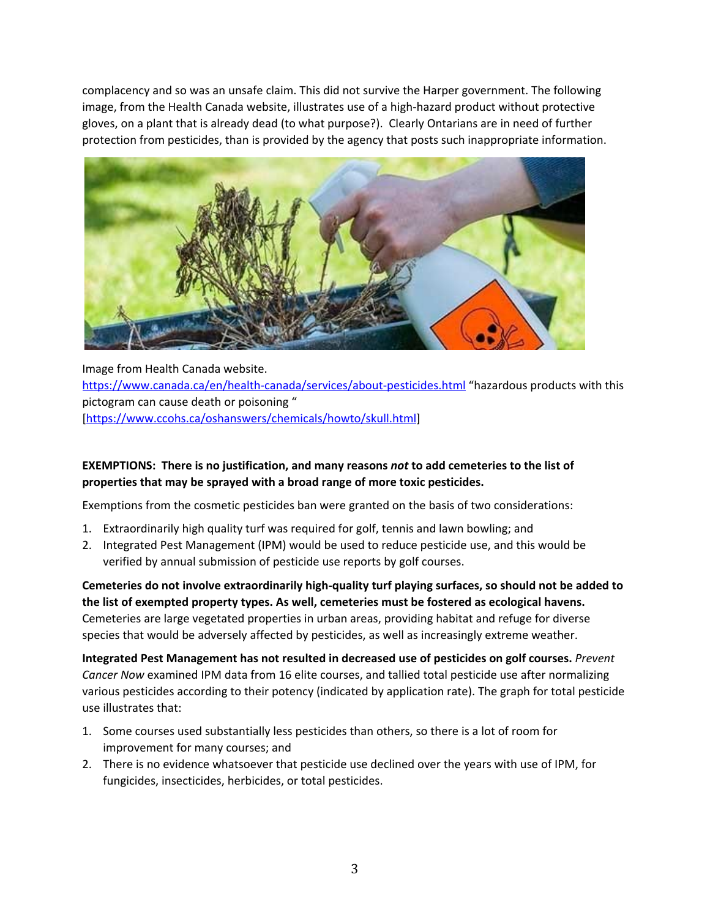complacency and so was an unsafe claim. This did not survive the Harper government. The following image, from the Health Canada website, illustrates use of a high-hazard product without protective gloves, on a plant that is already dead (to what purpose?). Clearly Ontarians are in need of further protection from pesticides, than is provided by the agency that posts such inappropriate information.



Image from Health Canada website. <https://www.canada.ca/en/health-canada/services/about-pesticides.html> "hazardous products with this pictogram can cause death or poisoning " [\[https://www.ccohs.ca/oshanswers/chemicals/howto/skull.html](https://www.ccohs.ca/oshanswers/chemicals/howto/skull.html)]

### **EXEMPTIONS: There is no justification, and many reasons** *not* **to add cemeteries to the list of properties that may be sprayed with a broad range of more toxic pesticides.**

Exemptions from the cosmetic pesticides ban were granted on the basis of two considerations:

- 1. Extraordinarily high quality turf was required for golf, tennis and lawn bowling; and
- 2. Integrated Pest Management (IPM) would be used to reduce pesticide use, and this would be verified by annual submission of pesticide use reports by golf courses.

**Cemeteries do not involve extraordinarily high-quality turf playing surfaces, so should not be added to the list of exempted property types. As well, cemeteries must be fostered as ecological havens.** Cemeteries are large vegetated properties in urban areas, providing habitat and refuge for diverse species that would be adversely affected by pesticides, as well as increasingly extreme weather.

**Integrated Pest Management has not resulted in decreased use of pesticides on golf courses.** *Prevent Cancer Now* examined IPM data from 16 elite courses, and tallied total pesticide use after normalizing various pesticides according to their potency (indicated by application rate). The graph for total pesticide use illustrates that:

- 1. Some courses used substantially less pesticides than others, so there is a lot of room for improvement for many courses; and
- 2. There is no evidence whatsoever that pesticide use declined over the years with use of IPM, for fungicides, insecticides, herbicides, or total pesticides.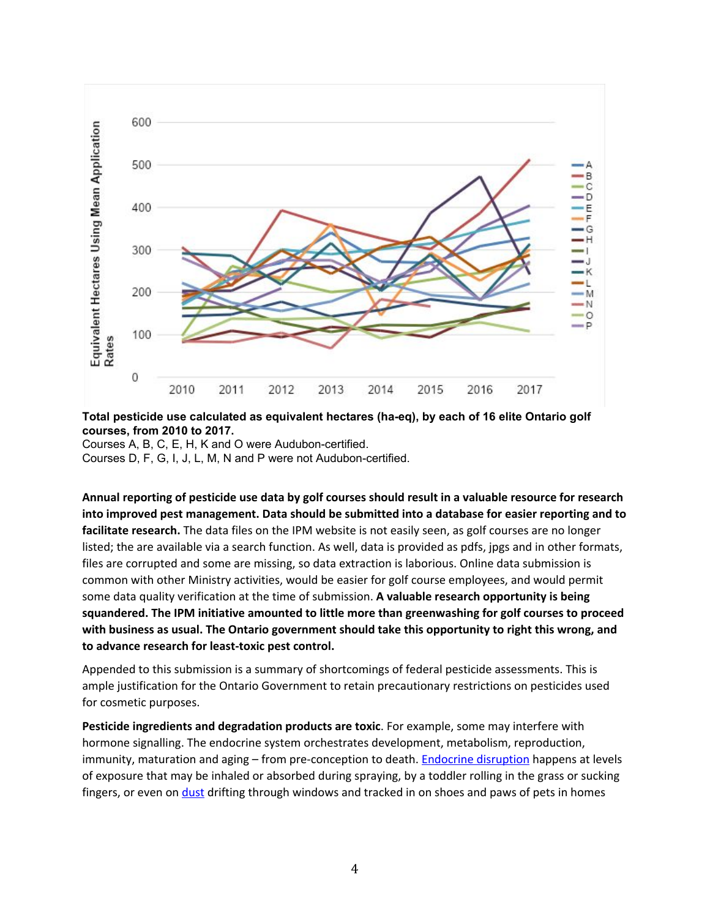

#### **Total pesticide use calculated as equivalent hectares (ha-eq), by each of 16 elite Ontario golf courses, from 2010 to 2017.**

Courses A, B, C, E, H, K and O were Audubon-certified. Courses D, F, G, I, J, L, M, N and P were not Audubon-certified.

**Annual reporting of pesticide use data by golf courses should result in a valuable resource for research into improved pest management. Data should be submitted into a database for easier reporting and to facilitate research.** The data files on the IPM website is not easily seen, as golf courses are no longer listed; the are available via a search function. As well, data is provided as pdfs, jpgs and in other formats, files are corrupted and some are missing, so data extraction is laborious. Online data submission is common with other Ministry activities, would be easier for golf course employees, and would permit some data quality verification at the time of submission. **A valuable research opportunity is being squandered. The IPM initiative amounted to little more than greenwashing for golf courses to proceed with business as usual. The Ontario government should take this opportunity to right this wrong, and to advance research for least-toxic pest control.**

Appended to this submission is a summary of shortcomings of federal pesticide assessments. This is ample justification for the Ontario Government to retain precautionary restrictions on pesticides used for cosmetic purposes.

**Pesticide ingredients and degradation products are toxic**. For example, some may interfere with hormone signalling. The endocrine system orchestrates development, metabolism, reproduction, immunity, maturation and aging – from pre-conception to death. **Endocrine [disruption](http://www.who.int/ceh/risks/cehemerging2/en/)** happens at levels of exposure that may be inhaled or absorbed during spraying, by a toddler rolling in the grass or sucking fingers, or even on [dust](https://www.ncbi.nlm.nih.gov/pmc/articles/PMC1240481/pdf/ehp0109-001185.pdf) drifting through windows and tracked in on shoes and paws of pets in homes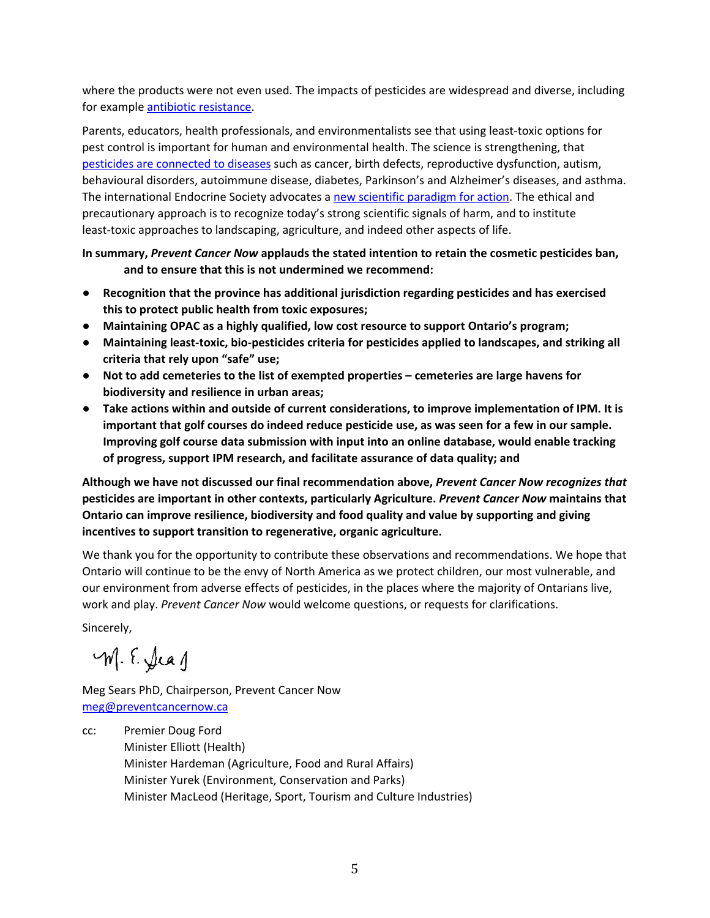where the products were not even used. The impacts of pesticides are widespread and diverse, including for example antibiotic [resistance.](https://www.ncbi.nlm.nih.gov/pubmed/29117584)

Parents, educators, health professionals, and environmentalists see that using least-toxic options for pest control is important for human and environmental health. The science is strengthening, that pesticides are [connected](https://www.beyondpesticides.org/resources/pesticide-induced-diseases-database/overview) to diseases such as cancer, birth defects, reproductive dysfunction, autism, behavioural disorders, autoimmune disease, diabetes, Parkinson's and Alzheimer's diseases, and asthma. The international Endocrine Society advocates a new scientific [paradigm](https://www.endocrine.org/topics/edc/where-we-stand) for action. The ethical and precautionary approach is to recognize today's strong scientific signals of harm, and to institute least-toxic approaches to landscaping, agriculture, and indeed other aspects of life.

**In summary,** *Prevent Cancer Now* **applauds the stated intention to retain the cosmetic pesticides ban, and to ensure that this is not undermined we recommend:**

- **● Recognition that the province has additional jurisdiction regarding pesticides and has exercised this to protect public health from toxic exposures;**
- **● Maintaining OPAC as a highly qualified, low cost resource to support Ontario's program;**
- **● Maintaining least-toxic, bio-pesticides criteria for pesticides applied to landscapes, and striking all criteria that rely upon "safe" use;**
- **● Not to add cemeteries to the list of exempted properties – cemeteries are large havens for biodiversity and resilience in urban areas;**
- **● Take actions within and outside of current considerations, to improve implementation of IPM. It is important that golf courses do indeed reduce pesticide use, as was seen for a few in our sample. Improving golf course data submission with input into an online database, would enable tracking of progress, support IPM research, and facilitate assurance of data quality; and**

**Although we have not discussed our final recommendation above,** *Prevent Cancer Now recognizes that* **pesticides are important in other contexts, particularly Agriculture.** *Prevent Cancer Now* **maintains that Ontario can improve resilience, biodiversity and food quality and value by supporting and giving incentives to support transition to regenerative, organic agriculture.**

We thank you for the opportunity to contribute these observations and recommendations. We hope that Ontario will continue to be the envy of North America as we protect children, our most vulnerable, and our environment from adverse effects of pesticides, in the places where the majority of Ontarians live, work and play. *Prevent Cancer Now* would welcome questions, or requests for clarifications.

Sincerely,

M. E. Seag

Meg Sears PhD, Chairperson, Prevent Cancer Now [meg@preventcancernow.ca](mailto:meg@preventcancernow.ca)

cc: Premier Doug Ford Minister Elliott (Health) Minister Hardeman (Agriculture, Food and Rural Affairs) Minister Yurek (Environment, Conservation and Parks) Minister MacLeod (Heritage, Sport, Tourism and Culture Industries)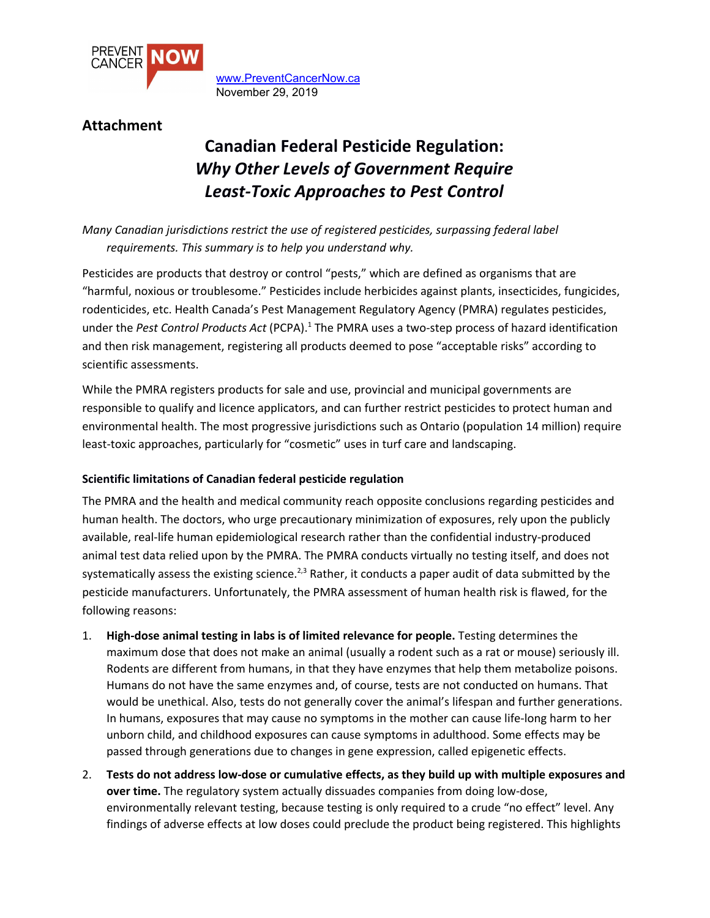

[www.PreventCancerNow.ca](http://www.preventcancernow.ca/) November 29, 2019

## **Attachment**

# **Canadian Federal Pesticide Regulation:** *Why Other Levels of Government Require Least-Toxic Approaches to Pest Control*

*Many Canadian jurisdictions restrict the use of registered pesticides, surpassing federal label requirements. This summary is to help you understand why.*

Pesticides are products that destroy or control "pests," which are defined as organisms that are "harmful, noxious or troublesome." Pesticides include herbicides against plants, insecticides, fungicides, rodenticides, etc. Health Canada's Pest Management Regulatory Agency (PMRA) regulates pesticides, under the *Pest Control Products Act* (PCPA).<sup>1</sup> The PMRA uses a two-step process of hazard identification and then risk management, registering all products deemed to pose "acceptable risks" according to scientific assessments.

While the PMRA registers products for sale and use, provincial and municipal governments are responsible to qualify and licence applicators, and can further restrict pesticides to protect human and environmental health. The most progressive jurisdictions such as Ontario (population 14 million) require least-toxic approaches, particularly for "cosmetic" uses in turf care and landscaping.

### **Scientific limitations of Canadian federal pesticide regulation**

The PMRA and the health and medical community reach opposite conclusions regarding pesticides and human health. The doctors, who urge precautionary minimization of exposures, rely upon the publicly available, real-life human epidemiological research rather than the confidential industry-produced animal test data relied upon by the PMRA. The PMRA conducts virtually no testing itself, and does not systematically assess the existing science.<sup>2,3</sup> Rather, it conducts a paper audit of data submitted by the pesticide manufacturers. Unfortunately, the PMRA assessment of human health risk is flawed, for the following reasons:

- 1. **High-dose animal testing in labs is of limited relevance for people.** Testing determines the maximum dose that does not make an animal (usually a rodent such as a rat or mouse) seriously ill. Rodents are different from humans, in that they have enzymes that help them metabolize poisons. Humans do not have the same enzymes and, of course, tests are not conducted on humans. That would be unethical. Also, tests do not generally cover the animal's lifespan and further generations. In humans, exposures that may cause no symptoms in the mother can cause life-long harm to her unborn child, and childhood exposures can cause symptoms in adulthood. Some effects may be passed through generations due to changes in gene expression, called epigenetic effects.
- 2. **Tests do not address low-dose or cumulative effects, as they build up with multiple exposures and over time.** The regulatory system actually dissuades companies from doing low-dose, environmentally relevant testing, because testing is only required to a crude "no effect" level. Any findings of adverse effects at low doses could preclude the product being registered. This highlights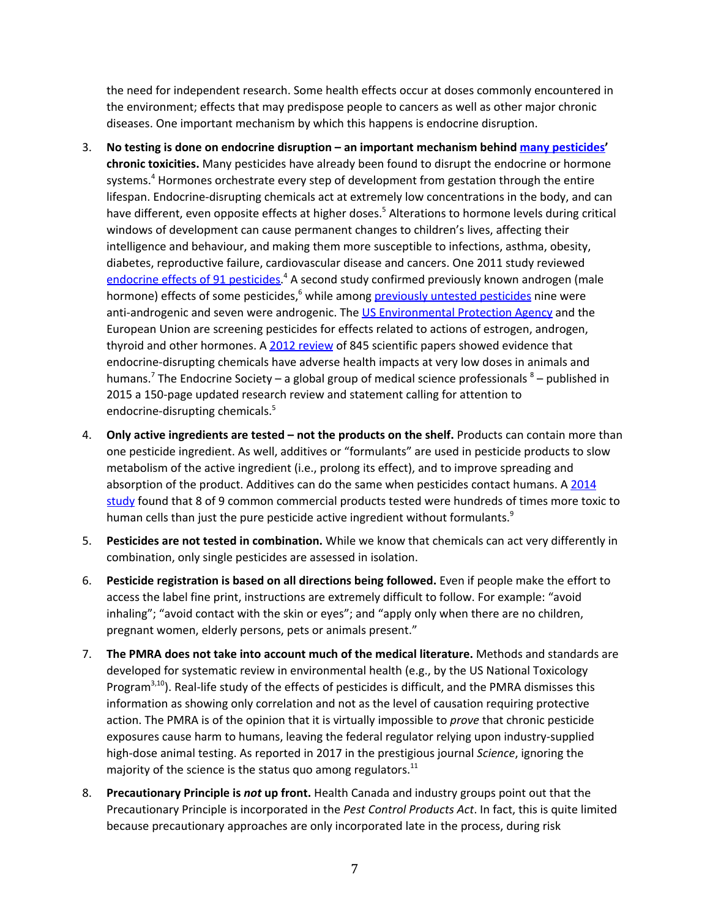the need for independent research. Some health effects occur at doses commonly encountered in the environment; effects that may predispose people to cancers as well as other major chronic diseases. One important mechanism by which this happens is endocrine disruption.

- 3. **No testing is done on endocrine disruption – an important mechanism behind many [pesticides'](http://www.ncbi.nlm.nih.gov/pmc/articles/PMC3138025/) chronic toxicities.** Many pesticides have already been found to disrupt the endocrine or hormone systems. <sup>4</sup> Hormones orchestrate every step of development from gestation through the entire lifespan. Endocrine-disrupting chemicals act at extremely low concentrations in the body, and can have different, even opposite effects at higher doses. <sup>5</sup> Alterations to hormone levels during critical windows of development can cause permanent changes to children's lives, affecting their intelligence and behaviour, and making them more susceptible to infections, asthma, obesity, diabetes, reproductive failure, cardiovascular disease and cancers. One 2011 study reviewed [endocrine](http://www.ncbi.nlm.nih.gov/pmc/articles/PMC3138025/) effects of 91 pesticides.<sup>4</sup> A second study confirmed previously known androgen (male hormone) effects of some pesticides,<sup>6</sup> while among **[previously](http://www.ncbi.nlm.nih.gov/pmc/articles/PMC3114813/) untested pesticides** nine were anti-androgenic and seven were androgenic. The US [Environmental](http://www.epa.gov/endo/) Protection Agency and the European Union are screening pesticides for effects related to actions of estrogen, androgen, thyroid and other hormones. A 2012 [review](http://www.ncbi.nlm.nih.gov/pmc/articles/PMC3365860/) of 845 scientific papers showed evidence that endocrine-disrupting chemicals have adverse health impacts at very low doses in animals and humans.<sup>7</sup> The Endocrine Society – a global group of medical science professionals <sup>8</sup> – published in 2015 a 150-page updated research review and statement calling for attention to endocrine-disrupting chemicals. 5
- 4. **Only active ingredients are tested – not the products on the shelf.** Products can contain more than one pesticide ingredient. As well, additives or "formulants" are used in pesticide products to slow metabolism of the active ingredient (i.e., prolong its effect), and to improve spreading and absorption of the product. Additives can do the same when pesticides contact humans. A [2014](http://www.hindawi.com/journals/bmri/2014/179691/) [study](http://www.hindawi.com/journals/bmri/2014/179691/) found that 8 of 9 common commercial products tested were hundreds of times more toxic to human cells than just the pure pesticide active ingredient without formulants.<sup>9</sup>
- 5. **Pesticides are not tested in combination.** While we know that chemicals can act very differently in combination, only single pesticides are assessed in isolation.
- 6. **Pesticide registration is based on all directions being followed.** Even if people make the effort to access the label fine print, instructions are extremely difficult to follow. For example: "avoid inhaling"; "avoid contact with the skin or eyes"; and "apply only when there are no children, pregnant women, elderly persons, pets or animals present."
- 7. **The PMRA does not take into account much of the medical literature.** Methods and standards are developed for systematic review in environmental health (e.g., by the US National Toxicology Program<sup>3,10</sup>). Real-life study of the effects of pesticides is difficult, and the PMRA dismisses this information as showing only correlation and not as the level of causation requiring protective action. The PMRA is of the opinion that it is virtually impossible to *prove* that chronic pesticide exposures cause harm to humans, leaving the federal regulator relying upon industry-supplied high-dose animal testing. As reported in 2017 in the prestigious journal *Science*, ignoring the majority of the science is the status quo among regulators.<sup>11</sup>
- 8. **Precautionary Principle is** *not* **up front.** Health Canada and industry groups point out that the Precautionary Principle is incorporated in the *Pest Control Products Act*. In fact, this is quite limited because precautionary approaches are only incorporated late in the process, during risk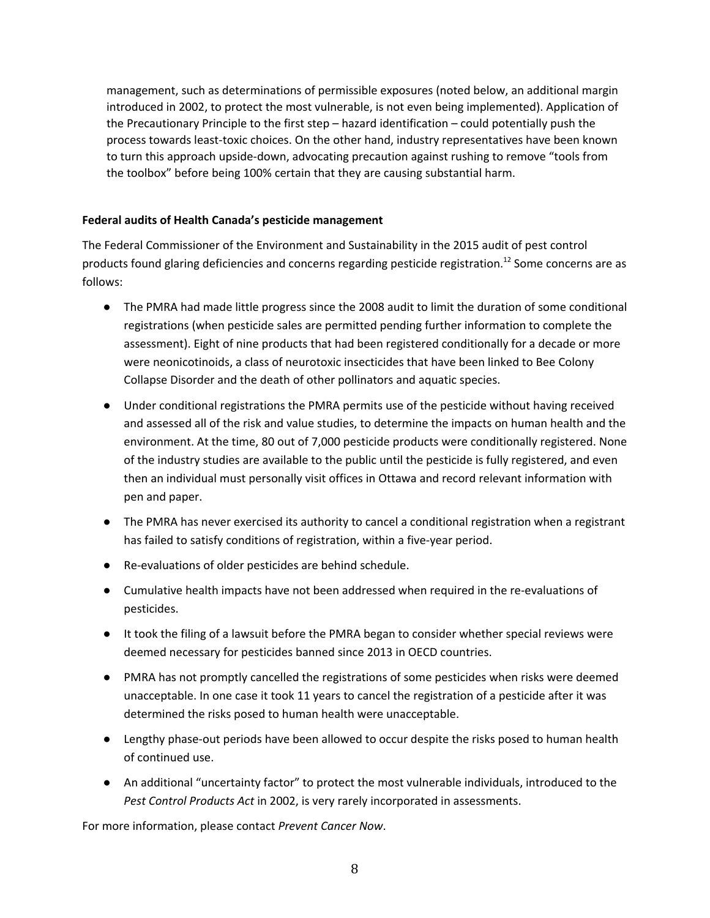management, such as determinations of permissible exposures (noted below, an additional margin introduced in 2002, to protect the most vulnerable, is not even being implemented). Application of the Precautionary Principle to the first step – hazard identification – could potentially push the process towards least-toxic choices. On the other hand, industry representatives have been known to turn this approach upside-down, advocating precaution against rushing to remove "tools from the toolbox" before being 100% certain that they are causing substantial harm.

### **Federal audits of Health Canada's pesticide management**

The Federal Commissioner of the Environment and Sustainability in the 2015 audit of pest control products found glaring deficiencies and concerns regarding pesticide registration. <sup>12</sup> Some concerns are as follows:

- The PMRA had made little progress since the 2008 audit to limit the duration of some conditional registrations (when pesticide sales are permitted pending further information to complete the assessment). Eight of nine products that had been registered conditionally for a decade or more were neonicotinoids, a class of neurotoxic insecticides that have been linked to Bee Colony Collapse Disorder and the death of other pollinators and aquatic species.
- Under conditional registrations the PMRA permits use of the pesticide without having received and assessed all of the risk and value studies, to determine the impacts on human health and the environment. At the time, 80 out of 7,000 pesticide products were conditionally registered. None of the industry studies are available to the public until the pesticide is fully registered, and even then an individual must personally visit offices in Ottawa and record relevant information with pen and paper.
- The PMRA has never exercised its authority to cancel a conditional registration when a registrant has failed to satisfy conditions of registration, within a five-year period.
- Re-evaluations of older pesticides are behind schedule.
- Cumulative health impacts have not been addressed when required in the re-evaluations of pesticides.
- It took the filing of a lawsuit before the PMRA began to consider whether special reviews were deemed necessary for pesticides banned since 2013 in OECD countries.
- PMRA has not promptly cancelled the registrations of some pesticides when risks were deemed unacceptable. In one case it took 11 years to cancel the registration of a pesticide after it was determined the risks posed to human health were unacceptable.
- Lengthy phase-out periods have been allowed to occur despite the risks posed to human health of continued use.
- An additional "uncertainty factor" to protect the most vulnerable individuals, introduced to the *Pest Control Products Act* in 2002, is very rarely incorporated in assessments.

For more information, please contact *Prevent Cancer Now*.